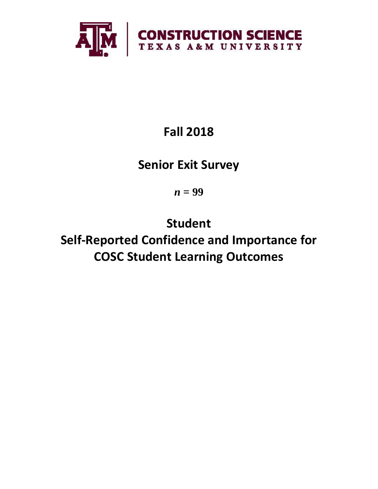

# **Fall 2018**

## **Senior Exit Survey**

*n* **= 99**

**Student Self-Reported Confidence and Importance for COSC Student Learning Outcomes**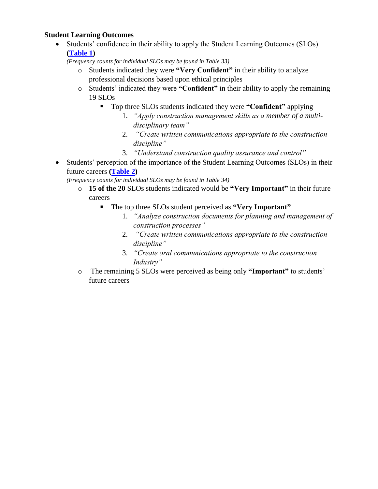## **Student Learning Outcomes**

• Students' confidence in their ability to apply the Student Learning Outcomes (SLOs) **[\(Table 1\)](#page-2-0)**

*(Frequency counts for individual SLOs may be found in Table 33)*

- o Students indicated they were **"Very Confident"** in their ability to analyze professional decisions based upon ethical principles
- o Students' indicated they were **"Confident"** in their ability to apply the remaining 19 SLOs
	- Top three SLOs students indicated they were **"Confident"** applying
		- 1. *"Apply construction management skills as a member of a multidisciplinary team"*
		- 2. *"Create written communications appropriate to the construction discipline"*
		- 3. *"Understand construction quality assurance and control"*
- Students' perception of the importance of the Student Learning Outcomes (SLOs) in their future careers **[\(Table 2\)](#page-3-0)**

*(Frequency counts for individual SLOs may be found in Table 34)*

- o **15 of the 20** SLOs students indicated would be **"Very Important"** in their future careers
	- The top three SLOs student perceived as **"Very Important"**
		- 1. *"Analyze construction documents for planning and management of construction processes"*
		- 2. *"Create written communications appropriate to the construction discipline"*
		- 3. *"Create oral communications appropriate to the construction Industry"*
- o The remaining 5 SLOs were perceived as being only **"Important"** to students' future careers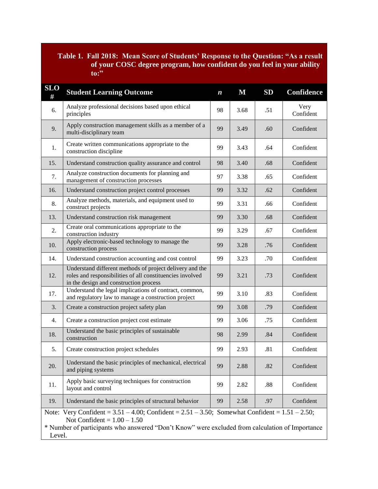## <span id="page-2-0"></span>**Table 1. Fall 2018: Mean Score of Students' Response to the Question: "As a result of your COSC degree program, how confident do you feel in your ability to:"**

| <b>SLO</b><br>#                                                                                                                                                                                                                                          | <b>Student Learning Outcome</b>                                                                                                                                 | $\boldsymbol{n}$ | $\mathbf M$ | SD  | <b>Confidence</b> |  |  |
|----------------------------------------------------------------------------------------------------------------------------------------------------------------------------------------------------------------------------------------------------------|-----------------------------------------------------------------------------------------------------------------------------------------------------------------|------------------|-------------|-----|-------------------|--|--|
| 6.                                                                                                                                                                                                                                                       | Analyze professional decisions based upon ethical<br>principles                                                                                                 | 98               | 3.68        | .51 | Very<br>Confident |  |  |
| 9.                                                                                                                                                                                                                                                       | Apply construction management skills as a member of a<br>multi-disciplinary team                                                                                | 99               | 3.49        | .60 | Confident         |  |  |
| 1.                                                                                                                                                                                                                                                       | Create written communications appropriate to the<br>construction discipline                                                                                     |                  | 3.43        | .64 | Confident         |  |  |
| 15.                                                                                                                                                                                                                                                      | Understand construction quality assurance and control                                                                                                           | 98               | 3.40        | .68 | Confident         |  |  |
| 7.                                                                                                                                                                                                                                                       | Analyze construction documents for planning and<br>management of construction processes                                                                         | 97               | 3.38        | .65 | Confident         |  |  |
| 16.                                                                                                                                                                                                                                                      | Understand construction project control processes                                                                                                               | 99               | 3.32        | .62 | Confident         |  |  |
| 8.                                                                                                                                                                                                                                                       | Analyze methods, materials, and equipment used to<br>construct projects                                                                                         | 99               | 3.31        | .66 | Confident         |  |  |
| 13.                                                                                                                                                                                                                                                      | Understand construction risk management                                                                                                                         | 99               | 3.30        | .68 | Confident         |  |  |
| 2.                                                                                                                                                                                                                                                       | Create oral communications appropriate to the<br>construction industry                                                                                          | 99               | 3.29        | .67 | Confident         |  |  |
| 10.                                                                                                                                                                                                                                                      | Apply electronic-based technology to manage the<br>construction process                                                                                         | 99               | 3.28        | .76 | Confident         |  |  |
| 14.                                                                                                                                                                                                                                                      | Understand construction accounting and cost control                                                                                                             |                  | 3.23        | .70 | Confident         |  |  |
| 12.                                                                                                                                                                                                                                                      | Understand different methods of project delivery and the<br>roles and responsibilities of all constituencies involved<br>in the design and construction process |                  | 3.21        | .73 | Confident         |  |  |
| 17.                                                                                                                                                                                                                                                      | Understand the legal implications of contract, common,<br>and regulatory law to manage a construction project                                                   | 99               | 3.10        | .83 | Confident         |  |  |
| 3.                                                                                                                                                                                                                                                       | Create a construction project safety plan                                                                                                                       | 99               | 3.08        | .79 | Confident         |  |  |
| 4.                                                                                                                                                                                                                                                       | Create a construction project cost estimate                                                                                                                     | 99               | 3.06        | .75 | Confident         |  |  |
| 18.                                                                                                                                                                                                                                                      | Understand the basic principles of sustainable<br>construction                                                                                                  | 98               | 2.99        | .84 | Confident         |  |  |
| 5.                                                                                                                                                                                                                                                       | Create construction project schedules                                                                                                                           | 99               | 2.93        | .81 | Confident         |  |  |
| 20.                                                                                                                                                                                                                                                      | Understand the basic principles of mechanical, electrical<br>and piping systems                                                                                 |                  | 2.88        | .82 | Confident         |  |  |
| 11.                                                                                                                                                                                                                                                      | Apply basic surveying techniques for construction<br>layout and control                                                                                         |                  | 2.82        | .88 | Confident         |  |  |
| 19.                                                                                                                                                                                                                                                      | Understand the basic principles of structural behavior                                                                                                          | 99               | 2.58        | .97 | Confident         |  |  |
| Very Confident = $3.51 - 4.00$ ; Confident = $2.51 - 3.50$ ; Somewhat Confident = $1.51 - 2.50$ ;<br>Note:<br>Not Confident = $1.00 - 1.50$<br>* Number of participants who answered "Don't Know" were excluded from calculation of Importance<br>Level. |                                                                                                                                                                 |                  |             |     |                   |  |  |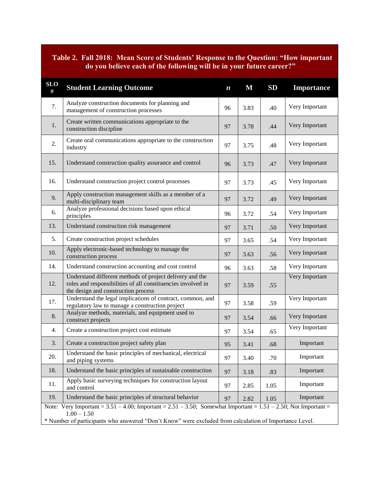## <span id="page-3-0"></span>**Table 2. Fall 2018: Mean Score of Students' Response to the Question: "How important do you believe each of the following will be in your future career?"**

| <b>SLO</b><br>#                                                                                                                                                                                                                                    | <b>Student Learning Outcome</b>                                                                                                                                 | $\boldsymbol{n}$ | $\mathbf M$ | SD   | Importance     |  |  |
|----------------------------------------------------------------------------------------------------------------------------------------------------------------------------------------------------------------------------------------------------|-----------------------------------------------------------------------------------------------------------------------------------------------------------------|------------------|-------------|------|----------------|--|--|
| 7.                                                                                                                                                                                                                                                 | Analyze construction documents for planning and<br>management of construction processes                                                                         | 96               | 3.83        | .40  | Very Important |  |  |
| 1.                                                                                                                                                                                                                                                 | Create written communications appropriate to the<br>construction discipline                                                                                     |                  | 3.78        | .44  | Very Important |  |  |
| 2.                                                                                                                                                                                                                                                 | Create oral communications appropriate to the construction<br>industry                                                                                          |                  | 3.75        | .48  | Very Important |  |  |
| 15.                                                                                                                                                                                                                                                | Understand construction quality assurance and control                                                                                                           | 96               | 3.73        | .47  | Very Important |  |  |
| 16.                                                                                                                                                                                                                                                | Understand construction project control processes                                                                                                               | 97               | 3.73        | .45  | Very Important |  |  |
| 9.                                                                                                                                                                                                                                                 | Apply construction management skills as a member of a<br>multi-disciplinary team                                                                                | 97               | 3.72        | .49  | Very Important |  |  |
| 6.                                                                                                                                                                                                                                                 | Analyze professional decisions based upon ethical<br>principles                                                                                                 | 96               | 3.72        | .54  | Very Important |  |  |
| 13.                                                                                                                                                                                                                                                | Understand construction risk management                                                                                                                         | 97               | 3.71        | .50  | Very Important |  |  |
| 5.                                                                                                                                                                                                                                                 | Create construction project schedules                                                                                                                           | 97               | 3.65        | .54  | Very Important |  |  |
| 10.                                                                                                                                                                                                                                                | Apply electronic-based technology to manage the<br>construction process                                                                                         |                  | 3.63        | .56  | Very Important |  |  |
| 14.                                                                                                                                                                                                                                                | Understand construction accounting and cost control                                                                                                             |                  | 3.63        | .58  | Very Important |  |  |
| 12.                                                                                                                                                                                                                                                | Understand different methods of project delivery and the<br>roles and responsibilities of all constituencies involved in<br>the design and construction process |                  | 3.59        | .55  | Very Important |  |  |
| 17.                                                                                                                                                                                                                                                | Understand the legal implications of contract, common, and<br>regulatory law to manage a construction project                                                   |                  | 3.58        | .59  | Very Important |  |  |
| 8.                                                                                                                                                                                                                                                 | Analyze methods, materials, and equipment used to<br>construct projects                                                                                         | 97               | 3.54        | .66  | Very Important |  |  |
| 4.                                                                                                                                                                                                                                                 | Create a construction project cost estimate                                                                                                                     | 97               | 3.54        | .65  | Very Important |  |  |
| 3.                                                                                                                                                                                                                                                 | Create a construction project safety plan                                                                                                                       | 95               | 3.41        | .68  | Important      |  |  |
| 20.                                                                                                                                                                                                                                                | Understand the basic principles of mechanical, electrical<br>and piping systems                                                                                 |                  | 3.40        | .70  | Important      |  |  |
| 18.                                                                                                                                                                                                                                                | Understand the basic principles of sustainable construction                                                                                                     |                  | 3.18        | .83  | Important      |  |  |
| 11.                                                                                                                                                                                                                                                | Apply basic surveying techniques for construction layout<br>and control                                                                                         |                  | 2.85        | 1.05 | Important      |  |  |
| 19.                                                                                                                                                                                                                                                | Understand the basic principles of structural behavior                                                                                                          |                  | 2.82        | 1.05 | Important      |  |  |
| Note: Very Important = $3.51 - 4.00$ ; Important = $2.51 - 3.50$ ; Somewhat Important = $1.51 - 2.50$ ; Not Important =<br>$1.00 - 1.50$<br>* Number of participants who answered "Don't Know" were excluded from calculation of Importance Level. |                                                                                                                                                                 |                  |             |      |                |  |  |
|                                                                                                                                                                                                                                                    |                                                                                                                                                                 |                  |             |      |                |  |  |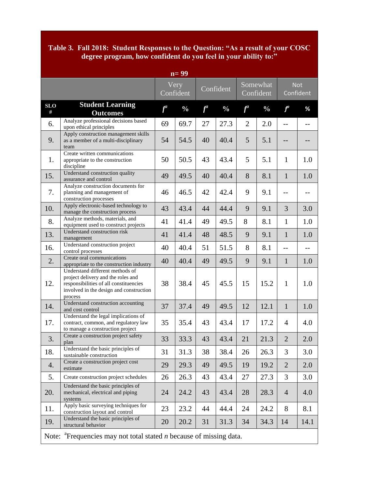#### **Table 3. Fall 2018: Student Responses to the Question: "As a result of your COSC degree program, how confident do you feel in your ability to:"**

| $n=99$                                                                            |                                                                                                                                                                       |       |                   |           |               |                       |               |                         |      |
|-----------------------------------------------------------------------------------|-----------------------------------------------------------------------------------------------------------------------------------------------------------------------|-------|-------------------|-----------|---------------|-----------------------|---------------|-------------------------|------|
|                                                                                   |                                                                                                                                                                       |       | Very<br>Confident | Confident |               | Somewhat<br>Confident |               | <b>Not</b><br>Confident |      |
| <b>SLO</b><br>#                                                                   | <b>Student Learning</b><br><b>Outcomes</b>                                                                                                                            | $f^a$ | $\frac{0}{0}$     | $f^a$     | $\frac{0}{0}$ | $f^a$                 | $\frac{0}{0}$ | $f^a$                   | %    |
| 6.                                                                                | Analyze professional decisions based<br>upon ethical principles                                                                                                       | 69    | 69.7              | 27        | 27.3          | $\overline{2}$        | 2.0           | $-$                     |      |
| 9.                                                                                | Apply construction management skills<br>as a member of a multi-disciplinary<br>team                                                                                   | 54    | 54.5              | 40        | 40.4          | 5                     | 5.1           | --                      |      |
| 1.                                                                                | Create written communications<br>appropriate to the construction<br>discipline                                                                                        | 50    | 50.5              | 43        | 43.4          | 5                     | 5.1           | 1                       | 1.0  |
| 15.                                                                               | Understand construction quality<br>assurance and control                                                                                                              | 49    | 49.5              | 40        | 40.4          | 8                     | 8.1           | $\mathbf{1}$            | 1.0  |
| 7.                                                                                | Analyze construction documents for<br>planning and management of<br>construction processes                                                                            | 46    | 46.5              | 42        | 42.4          | 9                     | 9.1           | $-$                     |      |
| 10.                                                                               | Apply electronic-based technology to<br>manage the construction process                                                                                               | 43    | 43.4              | 44        | 44.4          | 9                     | 9.1           | 3                       | 3.0  |
| 8.                                                                                | Analyze methods, materials, and<br>equipment used to construct projects                                                                                               | 41    | 41.4              | 49        | 49.5          | 8                     | 8.1           | $\mathbf{1}$            | 1.0  |
| 13.                                                                               | Understand construction risk<br>management                                                                                                                            | 41    | 41.4              | 48        | 48.5          | 9                     | 9.1           | $\mathbf{1}$            | 1.0  |
| 16.                                                                               | Understand construction project<br>control processes                                                                                                                  | 40    | 40.4              | 51        | 51.5          | 8                     | 8.1           | $-$                     | $-$  |
| 2.                                                                                | Create oral communications<br>appropriate to the construction industry                                                                                                | 40    | 40.4              | 49        | 49.5          | 9                     | 9.1           | $\mathbf{1}$            | 1.0  |
| 12.                                                                               | Understand different methods of<br>project delivery and the roles and<br>responsibilities of all constituencies<br>involved in the design and construction<br>process | 38    | 38.4              | 45        | 45.5          | 15                    | 15.2          | $\mathbf{1}$            | 1.0  |
| 14.                                                                               | Understand construction accounting<br>and cost control                                                                                                                | 37    | 37.4              | 49        | 49.5          | 12                    | 12.1          | $\mathbf{1}$            | 1.0  |
| 17.                                                                               | Understand the legal implications of<br>contract, common, and regulatory law<br>to manage a construction project                                                      | 35    | 35.4              | 43        | 43.4          | 17                    | 17.2          | $\overline{4}$          | 4.0  |
| 3.                                                                                | Create a construction project safety<br>plan                                                                                                                          | 33    | 33.3              | 43        | 43.4          | 21                    | 21.3          | $\overline{2}$          | 2.0  |
| 18.                                                                               | Understand the basic principles of<br>sustainable construction                                                                                                        | 31    | 31.3              | 38        | 38.4          | 26                    | 26.3          | 3                       | 3.0  |
| 4.                                                                                | Create a construction project cost<br>estimate                                                                                                                        | 29    | 29.3              | 49        | 49.5          | 19                    | 19.2          | $\overline{2}$          | 2.0  |
| 5.                                                                                | Create construction project schedules                                                                                                                                 | 26    | 26.3              | 43        | 43.4          | 27                    | 27.3          | 3                       | 3.0  |
| 20.                                                                               | Understand the basic principles of<br>mechanical, electrical and piping<br>systems                                                                                    | 24    | 24.2              | 43        | 43.4          | 28                    | 28.3          | $\overline{4}$          | 4.0  |
| 11.                                                                               | Apply basic surveying techniques for<br>construction layout and control                                                                                               | 23    | 23.2              | 44        | 44.4          | 24                    | 24.2          | 8                       | 8.1  |
| 19.                                                                               | Understand the basic principles of<br>structural behavior                                                                                                             | 20    | 20.2              | 31        | 31.3          | 34                    | 34.3          | 14                      | 14.1 |
| Note: ${}^{a}$ Frequencies may not total stated <i>n</i> because of missing data. |                                                                                                                                                                       |       |                   |           |               |                       |               |                         |      |